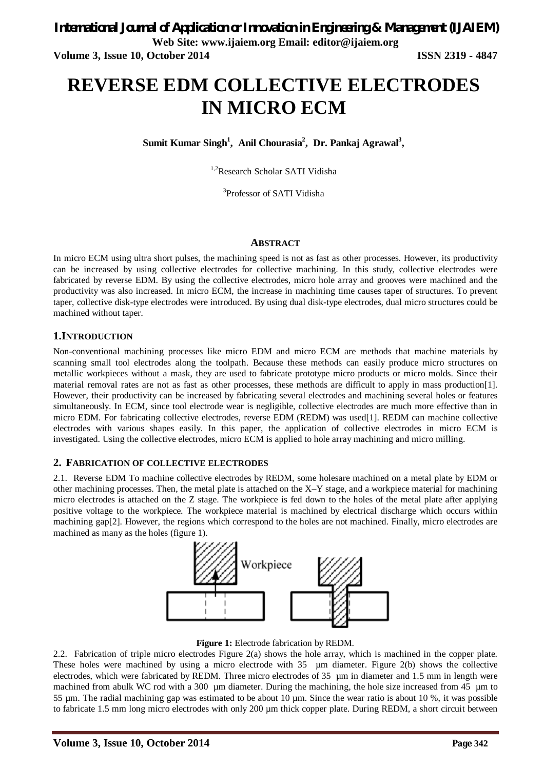# **REVERSE EDM COLLECTIVE ELECTRODES IN MICRO ECM**

**Sumit Kumar Singh<sup>1</sup> , Anil Chourasia<sup>2</sup> , Dr. Pankaj Agrawal<sup>3</sup> ,**

<sup>1,2</sup>Research Scholar SATI Vidisha

3 Professor of SATI Vidisha

#### **ABSTRACT**

In micro ECM using ultra short pulses, the machining speed is not as fast as other processes. However, its productivity can be increased by using collective electrodes for collective machining. In this study, collective electrodes were fabricated by reverse EDM. By using the collective electrodes, micro hole array and grooves were machined and the productivity was also increased. In micro ECM, the increase in machining time causes taper of structures. To prevent taper, collective disk-type electrodes were introduced. By using dual disk-type electrodes, dual micro structures could be machined without taper*.* 

### **1.INTRODUCTION**

Non-conventional machining processes like micro EDM and micro ECM are methods that machine materials by scanning small tool electrodes along the toolpath. Because these methods can easily produce micro structures on metallic workpieces without a mask, they are used to fabricate prototype micro products or micro molds. Since their material removal rates are not as fast as other processes, these methods are difficult to apply in mass production[1]. However, their productivity can be increased by fabricating several electrodes and machining several holes or features simultaneously. In ECM, since tool electrode wear is negligible, collective electrodes are much more effective than in micro EDM. For fabricating collective electrodes, reverse EDM (REDM) was used[1]. REDM can machine collective electrodes with various shapes easily. In this paper, the application of collective electrodes in micro ECM is investigated. Using the collective electrodes, micro ECM is applied to hole array machining and micro milling.

#### **2. FABRICATION OF COLLECTIVE ELECTRODES**

2.1. Reverse EDM To machine collective electrodes by REDM, some holesare machined on a metal plate by EDM or other machining processes. Then, the metal plate is attached on the X–Y stage, and a workpiece material for machining micro electrodes is attached on the Z stage. The workpiece is fed down to the holes of the metal plate after applying positive voltage to the workpiece. The workpiece material is machined by electrical discharge which occurs within machining gap[2]. However, the regions which correspond to the holes are not machined. Finally, micro electrodes are machined as many as the holes (figure 1).



**Figure 1:** Electrode fabrication by REDM.

2.2. Fabrication of triple micro electrodes Figure 2(a) shows the hole array, which is machined in the copper plate. These holes were machined by using a micro electrode with 35 µm diameter. Figure 2(b) shows the collective electrodes, which were fabricated by REDM. Three micro electrodes of 35 µm in diameter and 1.5 mm in length were machined from abulk WC rod with a 300 um diameter. During the machining, the hole size increased from 45 um to 55 µm. The radial machining gap was estimated to be about 10 µm. Since the wear ratio is about 10 %, it was possible to fabricate 1.5 mm long micro electrodes with only 200 µm thick copper plate. During REDM, a short circuit between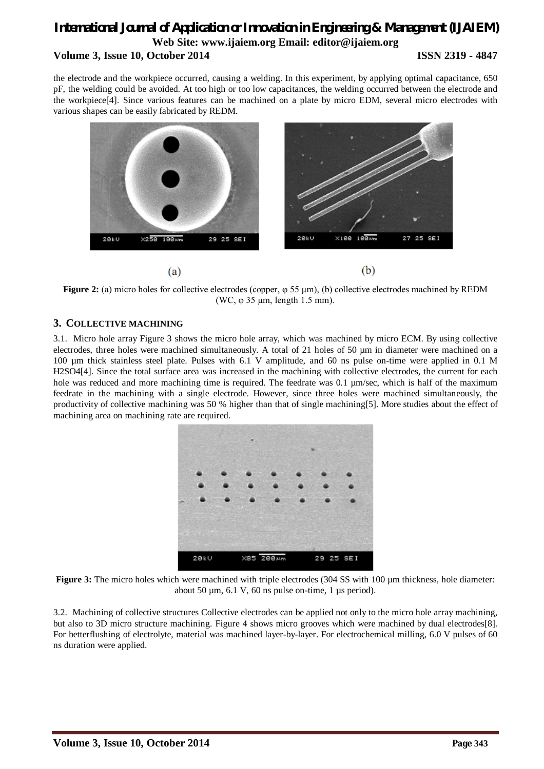### *International Journal of Application or Innovation in Engineering & Management (IJAIEM)* **Web Site: www.ijaiem.org Email: editor@ijaiem.org Volume 3, Issue 10, October 2014 ISSN 2319 - 4847**

the electrode and the workpiece occurred, causing a welding. In this experiment, by applying optimal capacitance, 650 pF, the welding could be avoided. At too high or too low capacitances, the welding occurred between the electrode and the workpiece[4]. Since various features can be machined on a plate by micro EDM, several micro electrodes with various shapes can be easily fabricated by REDM.



**Figure 2:** (a) micro holes for collective electrodes (copper, φ 55 µm), (b) collective electrodes machined by REDM (WC, φ 35 µm, length 1.5 mm).

### **3. COLLECTIVE MACHINING**

3.1. Micro hole array Figure 3 shows the micro hole array, which was machined by micro ECM. By using collective electrodes, three holes were machined simultaneously. A total of 21 holes of 50 µm in diameter were machined on a 100 µm thick stainless steel plate. Pulses with 6.1 V amplitude, and 60 ns pulse on-time were applied in 0.1 M H2SO4[4]. Since the total surface area was increased in the machining with collective electrodes, the current for each hole was reduced and more machining time is required. The feedrate was 0.1  $\mu$ m/sec, which is half of the maximum feedrate in the machining with a single electrode. However, since three holes were machined simultaneously, the productivity of collective machining was 50 % higher than that of single machining[5]. More studies about the effect of machining area on machining rate are required.



**Figure 3:** The micro holes which were machined with triple electrodes (304 SS with 100 µm thickness, hole diameter: about 50  $\mu$ m, 6.1 V, 60 ns pulse on-time, 1  $\mu$ s period).

3.2. Machining of collective structures Collective electrodes can be applied not only to the micro hole array machining, but also to 3D micro structure machining. Figure 4 shows micro grooves which were machined by dual electrodes[8]. For betterflushing of electrolyte, material was machined layer-by-layer. For electrochemical milling, 6.0 V pulses of 60 ns duration were applied.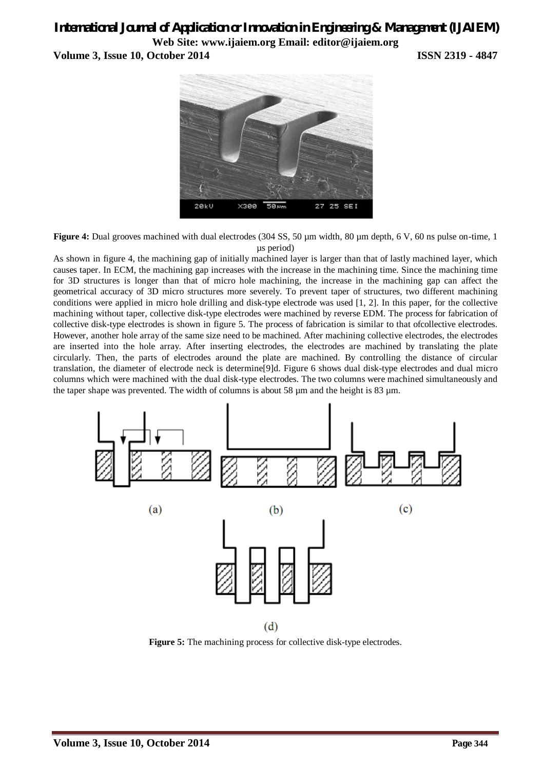# *International Journal of Application or Innovation in Engineering & Management (IJAIEM)* **Web Site: www.ijaiem.org Email: editor@ijaiem.org**

**Volume 3, Issue 10, October 2014 ISSN 2319 - 4847**



**Figure 4:** Dual grooves machined with dual electrodes (304 SS, 50 µm width, 80 µm depth, 6 V, 60 ns pulse on-time, 1 µs period)

As shown in figure 4, the machining gap of initially machined layer is larger than that of lastly machined layer, which causes taper. In ECM, the machining gap increases with the increase in the machining time. Since the machining time for 3D structures is longer than that of micro hole machining, the increase in the machining gap can affect the geometrical accuracy of 3D micro structures more severely. To prevent taper of structures, two different machining conditions were applied in micro hole drilling and disk-type electrode was used [1, 2]. In this paper, for the collective machining without taper, collective disk-type electrodes were machined by reverse EDM. The process for fabrication of collective disk-type electrodes is shown in figure 5. The process of fabrication is similar to that ofcollective electrodes. However, another hole array of the same size need to be machined. After machining collective electrodes, the electrodes are inserted into the hole array. After inserting electrodes, the electrodes are machined by translating the plate circularly. Then, the parts of electrodes around the plate are machined. By controlling the distance of circular translation, the diameter of electrode neck is determine[9]d. Figure 6 shows dual disk-type electrodes and dual micro columns which were machined with the dual disk-type electrodes. The two columns were machined simultaneously and the taper shape was prevented. The width of columns is about 58 µm and the height is 83 µm.



**Figure 5:** The machining process for collective disk-type electrodes.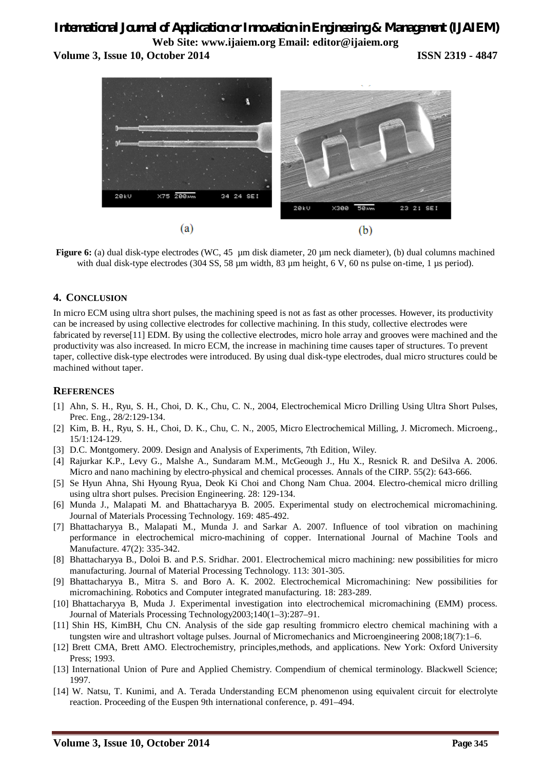## *International Journal of Application or Innovation in Engineering & Management (IJAIEM)* **Web Site: www.ijaiem.org Email: editor@ijaiem.org**

**Volume 3, Issue 10, October 2014 ISSN 2319 - 4847**



**Figure 6:** (a) dual disk-type electrodes (WC, 45 µm disk diameter, 20 µm neck diameter), (b) dual columns machined with dual disk-type electrodes (304 SS, 58 µm width, 83 µm height, 6 V, 60 ns pulse on-time, 1 µs period).

### **4. CONCLUSION**

In micro ECM using ultra short pulses, the machining speed is not as fast as other processes. However, its productivity can be increased by using collective electrodes for collective machining. In this study, collective electrodes were fabricated by reverse[11] EDM. By using the collective electrodes, micro hole array and grooves were machined and the productivity was also increased. In micro ECM, the increase in machining time causes taper of structures. To prevent taper, collective disk-type electrodes were introduced. By using dual disk-type electrodes, dual micro structures could be machined without taper.

### **REFERENCES**

- [1] Ahn, S. H., Ryu, S. H., Choi, D. K., Chu, C. N., 2004, Electrochemical Micro Drilling Using Ultra Short Pulses, Prec. Eng., 28/2:129-134.
- [2] Kim, B. H., Ryu, S. H., Choi, D. K., Chu, C. N., 2005, Micro Electrochemical Milling, J. Micromech. Microeng., 15/1:124-129.
- [3] D.C. Montgomery. 2009. Design and Analysis of Experiments, 7th Edition, Wiley.
- [4] Rajurkar K.P., Levy G., Malshe A., Sundaram M.M., McGeough J., Hu X., Resnick R. and DeSilva A. 2006. Micro and nano machining by electro-physical and chemical processes. Annals of the CIRP. 55(2): 643-666.
- [5] Se Hyun Ahna, Shi Hyoung Ryua, Deok Ki Choi and Chong Nam Chua. 2004. Electro-chemical micro drilling using ultra short pulses. Precision Engineering. 28: 129-134.
- [6] Munda J., Malapati M. and Bhattacharyya B. 2005. Experimental study on electrochemical micromachining. Journal of Materials Processing Technology. 169: 485-492.
- [7] Bhattacharyya B., Malapati M., Munda J. and Sarkar A. 2007. Influence of tool vibration on machining performance in electrochemical micro-machining of copper. International Journal of Machine Tools and Manufacture. 47(2): 335-342.
- [8] Bhattacharyya B., Doloi B. and P.S. Sridhar. 2001. Electrochemical micro machining: new possibilities for micro manufacturing. Journal of Material Processing Technology. 113: 301-305.
- [9] Bhattacharyya B., Mitra S. and Boro A. K. 2002. Electrochemical Micromachining: New possibilities for micromachining. Robotics and Computer integrated manufacturing. 18: 283-289.
- [10] Bhattacharyya B, Muda J. Experimental investigation into electrochemical micromachining (EMM) process. Journal of Materials Processing Technology2003;140(1–3):287–91.
- [11] Shin HS, KimBH, Chu CN. Analysis of the side gap resulting frommicro electro chemical machining with a tungsten wire and ultrashort voltage pulses. Journal of Micromechanics and Microengineering 2008;18(7):1–6.
- [12] Brett CMA, Brett AMO. Electrochemistry, principles,methods, and applications. New York: Oxford University Press; 1993.
- [13] International Union of Pure and Applied Chemistry. Compendium of chemical terminology. Blackwell Science; 1997.
- [14] W. Natsu, T. Kunimi, and A. Terada Understanding ECM phenomenon using equivalent circuit for electrolyte reaction. Proceeding of the Euspen 9th international conference, p. 491–494.